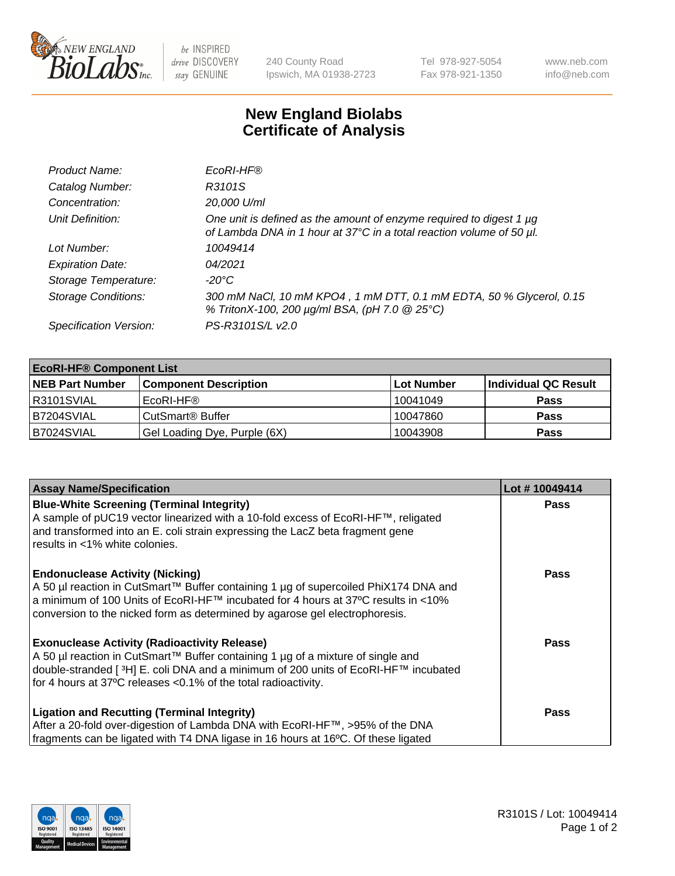

 $be$  INSPIRED drive DISCOVERY stay GENUINE

240 County Road Ipswich, MA 01938-2723 Tel 978-927-5054 Fax 978-921-1350 www.neb.com info@neb.com

## **New England Biolabs Certificate of Analysis**

| Product Name:              | EcoRI-HF®                                                                                                                                   |
|----------------------------|---------------------------------------------------------------------------------------------------------------------------------------------|
| Catalog Number:            | R3101S                                                                                                                                      |
| Concentration:             | 20,000 U/ml                                                                                                                                 |
| Unit Definition:           | One unit is defined as the amount of enzyme required to digest 1 µg<br>of Lambda DNA in 1 hour at 37°C in a total reaction volume of 50 µl. |
| Lot Number:                | 10049414                                                                                                                                    |
| <b>Expiration Date:</b>    | 04/2021                                                                                                                                     |
| Storage Temperature:       | -20°C                                                                                                                                       |
| <b>Storage Conditions:</b> | 300 mM NaCl, 10 mM KPO4, 1 mM DTT, 0.1 mM EDTA, 50 % Glycerol, 0.15<br>% TritonX-100, 200 µg/ml BSA, (pH 7.0 @ 25°C)                        |
| Specification Version:     | PS-R3101S/L v2.0                                                                                                                            |

| <b>EcoRI-HF® Component List</b> |                              |            |                      |  |  |
|---------------------------------|------------------------------|------------|----------------------|--|--|
| <b>NEB Part Number</b>          | <b>Component Description</b> | Lot Number | Individual QC Result |  |  |
| IR3101SVIAL                     | EcoRI-HF®                    | 10041049   | <b>Pass</b>          |  |  |
| B7204SVIAL                      | CutSmart <sup>®</sup> Buffer | 10047860   | <b>Pass</b>          |  |  |
| B7024SVIAL                      | Gel Loading Dye, Purple (6X) | 10043908   | <b>Pass</b>          |  |  |

| <b>Assay Name/Specification</b>                                                                                                                                                                                                                                                                               | Lot #10049414 |
|---------------------------------------------------------------------------------------------------------------------------------------------------------------------------------------------------------------------------------------------------------------------------------------------------------------|---------------|
| <b>Blue-White Screening (Terminal Integrity)</b><br>A sample of pUC19 vector linearized with a 10-fold excess of EcoRI-HF™, religated<br>and transformed into an E. coli strain expressing the LacZ beta fragment gene<br>results in <1% white colonies.                                                      | <b>Pass</b>   |
| <b>Endonuclease Activity (Nicking)</b><br>  A 50 µl reaction in CutSmart™ Buffer containing 1 µg of supercoiled PhiX174 DNA and<br>  a minimum of 100 Units of EcoRI-HF™ incubated for 4 hours at 37°C results in <10%<br>conversion to the nicked form as determined by agarose gel electrophoresis.         | <b>Pass</b>   |
| <b>Exonuclease Activity (Radioactivity Release)</b><br>  A 50 µl reaction in CutSmart™ Buffer containing 1 µg of a mixture of single and<br>double-stranded [ <sup>3</sup> H] E. coli DNA and a minimum of 200 units of EcoRI-HF™ incubated<br>for 4 hours at 37°C releases <0.1% of the total radioactivity. | Pass          |
| <b>Ligation and Recutting (Terminal Integrity)</b><br>After a 20-fold over-digestion of Lambda DNA with EcoRI-HF™, >95% of the DNA<br>fragments can be ligated with T4 DNA ligase in 16 hours at 16°C. Of these ligated                                                                                       | <b>Pass</b>   |